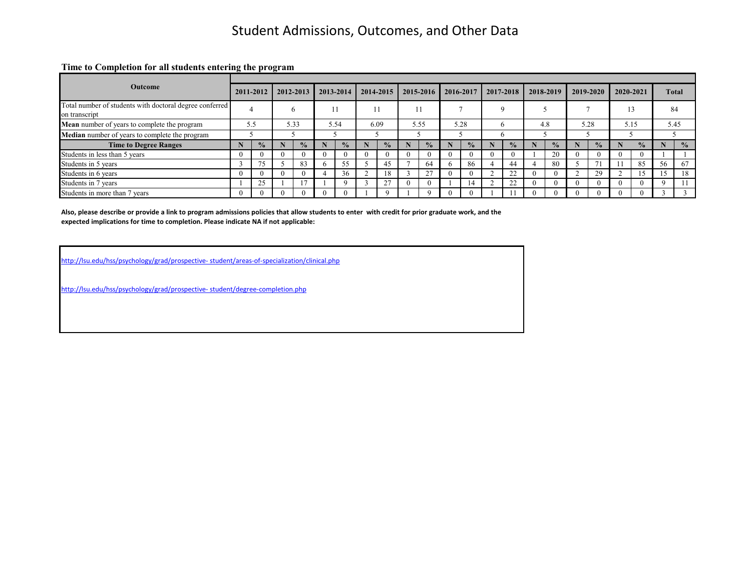**Time to Completion for all students entering the program**

| <b>Outcome</b>                                                           |          | 2011-2012     | 2012-2013     |   | 2013-2014     |          | $2014 - 2015$        | 2015-2016     | 2016-2017     | 2017-2018     | 2018-2019     | 2019-2020     | 2020-2021     |    | <b>Total</b>  |
|--------------------------------------------------------------------------|----------|---------------|---------------|---|---------------|----------|----------------------|---------------|---------------|---------------|---------------|---------------|---------------|----|---------------|
| Total number of students with doctoral degree conferred<br>on transcript |          |               | h             |   |               |          |                      |               |               | $\Omega$      |               |               | 13            |    | 84            |
| <b>Mean</b> number of years to complete the program                      |          | 5.5           | 5.33          |   | 5.54          |          | 6.09                 | 5.55          | 5.28          |               | 4.8           | 5.28          | 5.15          |    | 5.45          |
| Median number of years to complete the program                           |          |               |               |   |               |          |                      |               |               |               |               |               |               |    |               |
| <b>Time to Degree Ranges</b>                                             |          | $\frac{0}{2}$ | $\frac{0}{2}$ |   | $\frac{0}{0}$ |          | $\sqrt{\frac{6}{1}}$ | $\frac{0}{2}$ | $\frac{0}{0}$ | $\frac{0}{0}$ | $\frac{1}{2}$ | $\frac{1}{2}$ | $\frac{0}{2}$ |    | $\frac{1}{2}$ |
| Students in less than 5 years                                            | $\Omega$ |               | $\Omega$      |   |               | $\Omega$ |                      | $\Omega$      |               |               | 20            |               |               |    |               |
| Students in 5 years                                                      |          |               | 83            |   | 55            |          | 45                   | 64            | 86            | 44            | 80            | $\mathcal{I}$ | 85            | 56 | 67            |
| Students in 6 years                                                      | $\theta$ |               | $\Omega$      | 4 | 36            |          |                      | 27            |               | 22            |               | 29            |               | 15 | 18            |
| Students in 7 years                                                      |          | 25            |               |   |               |          | 27                   | $\theta$      | 14            | 22            | -0            |               |               | Q  |               |
| Students in more than 7 years                                            | $\Omega$ |               |               |   |               |          |                      | $\Omega$      |               |               |               |               |               |    |               |

**Also, please describe or provide a link to program admissions policies that allow students to enter with credit for prior graduate work, and the expected implications for time to completion. Please indicate NA if not applicable:**

[http://lsu.edu/hss/psychology/grad/prospective- student/areas-of-specialization/clinical.php](http://lsu.edu/hss/psychology/grad/prospective-%20student/areas-of-specialization/clinical.php)

[http://lsu.edu/hss/psychology/grad/prospective- student/degree-completion.php](http://lsu.edu/hss/psychology/grad/prospective-%20student/degree-completion.php)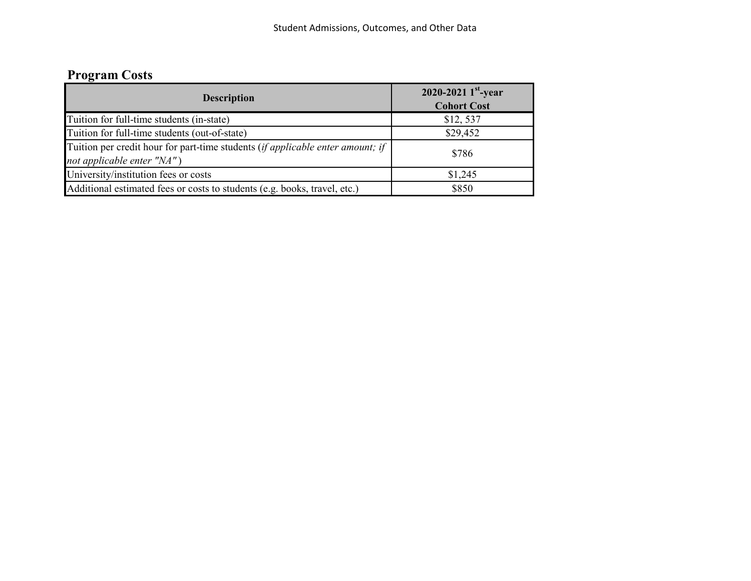# **Program Costs**

| <b>Description</b>                                                                                           | 2020-2021 $1^{\text{st}}$ -year<br><b>Cohort Cost</b> |
|--------------------------------------------------------------------------------------------------------------|-------------------------------------------------------|
| Tuition for full-time students (in-state)                                                                    | \$12,537                                              |
| Tuition for full-time students (out-of-state)                                                                | \$29,452                                              |
| Tuition per credit hour for part-time students (if applicable enter amount; if<br>not applicable enter "NA") | \$786                                                 |
| University/institution fees or costs                                                                         | \$1,245                                               |
| Additional estimated fees or costs to students (e.g. books, travel, etc.)                                    | \$850                                                 |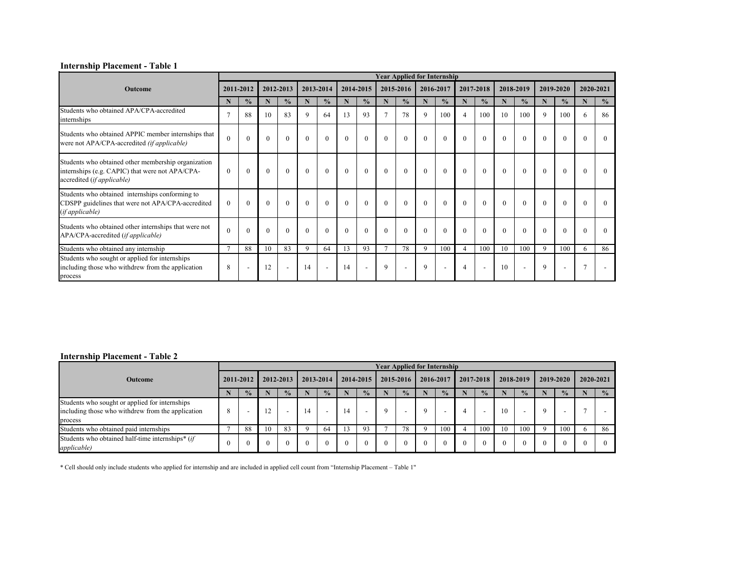|                                                                                                                                      |              |                          |                |                |              |                |              |                          |               | <b>Year Applied for Internship</b> |             |                          |                |                |                |                          |          |                          |          |                |
|--------------------------------------------------------------------------------------------------------------------------------------|--------------|--------------------------|----------------|----------------|--------------|----------------|--------------|--------------------------|---------------|------------------------------------|-------------|--------------------------|----------------|----------------|----------------|--------------------------|----------|--------------------------|----------|----------------|
| <b>Outcome</b>                                                                                                                       |              | 2011-2012                |                | 2012-2013      |              | 2013-2014      |              | 2014-2015                |               | 2015-2016                          |             | 2016-2017                |                | 2017-2018      |                | 2018-2019                |          | 2019-2020                |          | 2020-2021      |
|                                                                                                                                      | N            | $\frac{0}{0}$            | $\mathbf N$    | $\frac{0}{0}$  | N            | $\frac{0}{0}$  | N            | $\frac{6}{10}$           | N             | $\frac{0}{0}$                      | N           | $\frac{0}{0}$            | N              | $\frac{0}{0}$  | N              | $\frac{0}{0}$            | N        | $\frac{6}{6}$            | N        | $\frac{6}{10}$ |
| Students who obtained APA/CPA-accredited<br>internships                                                                              |              | 88                       | 10             | 83             | 9            | 64             | 13           | 93                       | $\tau$        | 78                                 | $\mathbf Q$ | 100                      | $\overline{4}$ | 100            | 10             | 100                      | 9        | 100                      | 6        | 86             |
| Students who obtained APPIC member internships that<br>were not APA/CPA-accredited (if applicable)                                   | $\theta$     | $\theta$                 | $\overline{0}$ | $\Omega$       | $\mathbf{0}$ | $\overline{0}$ | $\mathbf{0}$ | $\overline{0}$           | $\mathbf{0}$  | $\mathbf{0}$                       | $\Omega$    | $\overline{0}$           | $\mathbf{0}$   | $\overline{0}$ | $\mathbf{0}$   | $\mathbf{0}$             | $\Omega$ | $\overline{0}$           | $\theta$ | $\theta$       |
| Students who obtained other membership organization<br>internships (e.g. CAPIC) that were not APA/CPA-<br>accredited (if applicable) | $\theta$     | $\overline{0}$           | $\mathbf{0}$   | $\mathbf{0}$   | $\mathbf{0}$ | $\overline{0}$ | $\theta$     | $\mathbf{0}$             | $\theta$      | $\mathbf{0}$                       | $\theta$    | $\overline{0}$           | $\overline{0}$ | $\overline{0}$ | $\overline{0}$ | $\mathbf{0}$             | $\theta$ | $\overline{0}$           | $\theta$ | $\Omega$       |
| Students who obtained internships conforming to<br>CDSPP guidelines that were not APA/CPA-accredited<br>( <i>if applicable</i> )     | $\theta$     | $\Omega$                 | $\mathbf{0}$   | $\Omega$       | $\theta$     | $\overline{0}$ | $\Omega$     | $\overline{0}$           | $\theta$      | $\theta$                           | $\Omega$    | $\theta$                 | $\theta$       | $\theta$       | $\mathbf{0}$   | $\theta$                 | $\Omega$ | $\overline{0}$           | $\Omega$ | $\Omega$       |
| Students who obtained other internships that were not<br>APA/CPA-accredited (if applicable)                                          | $\Omega$     | $\theta$                 | $\theta$       |                | $\Omega$     | $\overline{0}$ | $\theta$     | $\overline{0}$           | $\theta$      | $\theta$                           | $\theta$    | $\theta$                 | $\theta$       | $\theta$       | $\mathbf{0}$   | $\theta$                 | $\Omega$ | $\mathbf{0}$             |          | $\Omega$       |
| Students who obtained any internship                                                                                                 | $\mathbf{r}$ | 88                       | 10             | 83             | 9            | 64             | 13           | 93                       | $\mathcal{I}$ | 78                                 | 9           | 100                      | $\overline{4}$ | 100            | 10             | 100                      | 9        | 100                      | 6        | 86             |
| Students who sought or applied for internships<br>including those who withdrew from the application<br>process                       | 8            | $\overline{\phantom{a}}$ | 12             | $\blacksquare$ | 14           | $\sim$         | 14           | $\overline{\phantom{a}}$ | 9             |                                    | $\mathbf Q$ | $\overline{\phantom{a}}$ | $\overline{4}$ | $\blacksquare$ | 10             | $\overline{\phantom{a}}$ | 9        | $\overline{\phantom{a}}$ |          |                |

#### **Internship Placement - Table 2**

|                                                                                                                |           |                          |    |               |           |                          |           |                          |          |               | <b>Year Applied for Internship</b> |               |           |                          |           |               |             |                          |               |
|----------------------------------------------------------------------------------------------------------------|-----------|--------------------------|----|---------------|-----------|--------------------------|-----------|--------------------------|----------|---------------|------------------------------------|---------------|-----------|--------------------------|-----------|---------------|-------------|--------------------------|---------------|
| <b>Outcome</b>                                                                                                 | 2011-2012 |                          |    | 2012-2013     | 2013-2014 |                          | 2014-2015 |                          |          | 2015-2016     | 2016-2017                          |               | 2017-2018 |                          | 2018-2019 |               |             | 2019-2020                | 2020-2021     |
|                                                                                                                |           | $\frac{0}{2}$            |    | $\frac{0}{2}$ |           | $\frac{0}{2}$            |           | $\frac{1}{2}$            |          | $\frac{1}{2}$ |                                    | $\frac{1}{2}$ |           | $\frac{0}{2}$            |           | $\frac{0}{2}$ |             | $\frac{1}{2}$            | $\frac{0}{0}$ |
| Students who sought or applied for internships<br>including those who withdrew from the application<br>process | 8         | $\overline{\phantom{0}}$ | 12 |               | 14        | $\overline{\phantom{0}}$ | 14        | $\overline{\phantom{0}}$ | Q        |               | $\mathbf Q$                        |               |           | $\overline{\phantom{0}}$ | 10        |               | $\mathbf Q$ | $\overline{\phantom{0}}$ |               |
| Students who obtained paid internships                                                                         |           | 88                       | 10 | 83            |           | 64                       |           | 93                       |          | 78            | 9                                  | 100           |           | 100                      | 10        | 100           | $\Omega$    | 100                      | 86            |
| Students who obtained half-time internships <sup>*</sup> (if<br><i>applicable</i> )                            |           | $\theta$                 | 0  |               |           |                          |           |                          | $\Omega$ |               | $\theta$                           | $\theta$      |           | $\theta$                 |           |               | $\Omega$    |                          | $\theta$      |

# **Internship Placement - Table 1**

\* Cell should only include students who applied for internship and are included in applied cell count from "Internship Placement – Table 1"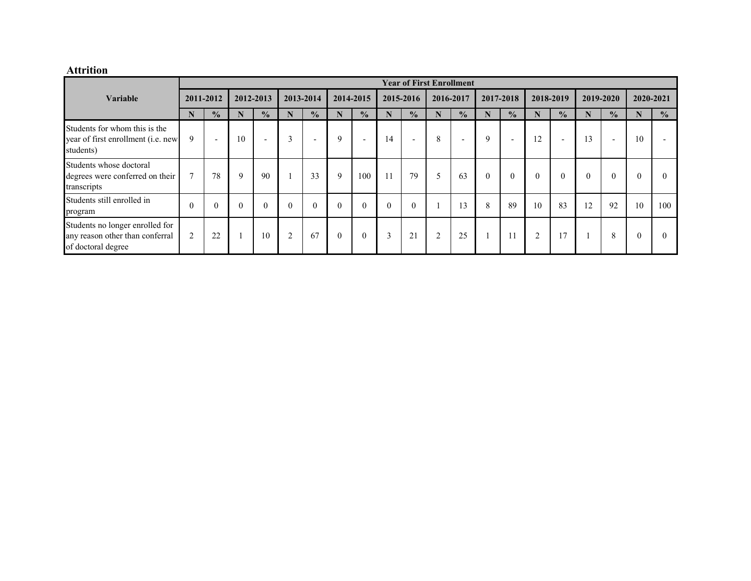# **Attrition**

|                                                                                          |                |                          |          |                          |                |                          |          |                          |          |                          |                | <b>Year of First Enrollment</b> |              |                          |                |                          |                |                          |           |               |
|------------------------------------------------------------------------------------------|----------------|--------------------------|----------|--------------------------|----------------|--------------------------|----------|--------------------------|----------|--------------------------|----------------|---------------------------------|--------------|--------------------------|----------------|--------------------------|----------------|--------------------------|-----------|---------------|
| <b>Variable</b>                                                                          | 2011-2012      |                          |          | 2012-2013                |                | 2013-2014                |          | 2014-2015                |          | 2015-2016                |                | 2016-2017                       | 2017-2018    |                          | 2018-2019      |                          |                | 2019-2020                | 2020-2021 |               |
|                                                                                          | N              | $\frac{1}{2}$            | N        | $\frac{1}{2}$            | N              | $\frac{1}{2}$            | N        | $\frac{1}{2}$            | N        | $\frac{0}{0}$            | N              | $\frac{1}{2}$                   | N            | $\frac{1}{2}$            | N              | $\frac{0}{0}$            | N              | $\frac{1}{2}$            | N         | $\frac{0}{0}$ |
| Students for whom this is the<br>year of first enrollment (i.e. new<br>students)         | 9              | $\overline{\phantom{0}}$ | 10       | $\overline{\phantom{0}}$ | 3              | $\overline{\phantom{0}}$ | 9        | $\overline{\phantom{0}}$ | 14       | $\overline{\phantom{0}}$ | 8              | $\overline{\phantom{a}}$        | 9            | $\overline{\phantom{0}}$ | 12             | $\overline{\phantom{0}}$ | $\overline{3}$ | $\overline{\phantom{0}}$ | 10        |               |
| Students whose doctoral<br>degrees were conferred on their<br>transcripts                | $\mathcal{L}$  | 78                       | 9        | 90                       |                | 33                       | 9        | 100                      | 11       | 79                       | 5              | 63                              | $\mathbf{0}$ | $\mathbf{0}$             | $\mathbf{0}$   | $\overline{0}$           |                | $\mathbf{0}$             | $\theta$  | $\theta$      |
| Students still enrolled in<br>program                                                    |                | $\theta$                 | $\theta$ | $\overline{0}$           | $\theta$       | $\mathbf{0}$             | $\theta$ | $\mathbf{0}$             | $\theta$ | $\overline{0}$           |                | 13                              | 8            | 89                       | 10             | 83                       | 12             | 92                       | 10        | 100           |
| Students no longer enrolled for<br>any reason other than conferral<br>of doctoral degree | $\overline{2}$ | 22                       |          | 10                       | $\overline{2}$ | 67                       | $\theta$ | $\overline{0}$           | 3        | 21                       | $\overline{2}$ | 25                              |              | 11                       | $\overline{2}$ | 17                       |                | 8                        | $\Omega$  | $\Omega$      |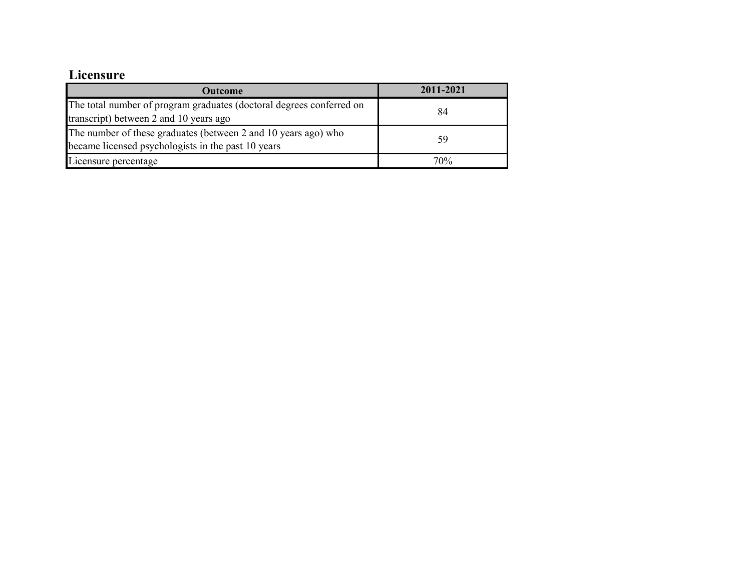# **Licensure**

| Outcome                                                                                                              | 2011-2021 |
|----------------------------------------------------------------------------------------------------------------------|-----------|
| The total number of program graduates (doctoral degrees conferred on<br>transcript) between 2 and 10 years ago       | 84        |
| The number of these graduates (between 2 and 10 years ago) who<br>became licensed psychologists in the past 10 years | 59        |
| Licensure percentage                                                                                                 | 70%       |